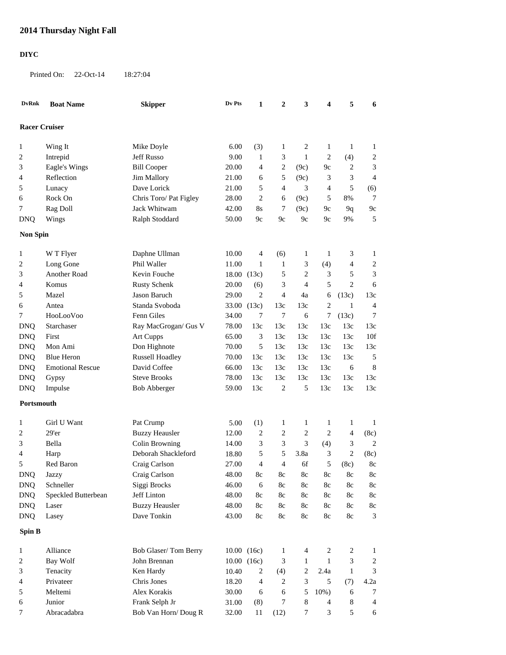## **2014 Thursday Night Fall**

## **DIYC**

Printed On: 22-Oct-14 18:27:04

| <b>DvRnk</b>                                                                             | <b>Boat Name</b>        | <b>Skipper</b>         | Dv Pts | 1              | 2             | 3              | 4              | 5            | 6                |
|------------------------------------------------------------------------------------------|-------------------------|------------------------|--------|----------------|---------------|----------------|----------------|--------------|------------------|
| <b>Racer Cruiser</b>                                                                     |                         |                        |        |                |               |                |                |              |                  |
| $\mathbf{1}$                                                                             | Wing It                 | Mike Doyle             | 6.00   | (3)            | 1             | 2              | 1              | $\mathbf{1}$ | 1                |
| 2                                                                                        | Intrepid                | <b>Jeff Russo</b>      | 9.00   | $\mathbf{1}$   | 3             | $\mathbf{1}$   | $\overline{c}$ | (4)          | $\boldsymbol{2}$ |
| 3                                                                                        | Eagle's Wings           | <b>Bill Cooper</b>     | 20.00  | 4              | 2             | (9c)           | 9c             | 2            | 3                |
| 4                                                                                        | Reflection              | Jim Mallory            | 21.00  | 6              | 5             | (9c)           | 3              | 3            | 4                |
| 5                                                                                        | Lunacy                  | Dave Lorick            | 21.00  | 5              | 4             | 3              | 4              | 5            | (6)              |
| 6                                                                                        | Rock On                 | Chris Toro/ Pat Figley | 28.00  | $\overline{c}$ | 6             | (9c)           | 5              | 8%           | 7                |
| 7                                                                                        | Rag Doll                | Jack Whitwam           | 42.00  | 8s             | 7             | (9c)           | 9с             | 9q           | 9c               |
| <b>DNQ</b>                                                                               | Wings                   | Ralph Stoddard         | 50.00  | 9c             | 9c            | 9c             | 9c             | 9%           | 5                |
| <b>Non Spin</b>                                                                          |                         |                        |        |                |               |                |                |              |                  |
|                                                                                          |                         |                        |        |                |               |                |                |              |                  |
| $\mathbf{1}$                                                                             | W T Flyer               | Daphne Ullman          | 10.00  | 4              | (6)           | $\mathbf{1}$   | $\mathbf{1}$   | 3            | 1                |
| 2                                                                                        | Long Gone               | Phil Waller            | 11.00  | 1              | 1             | 3              | (4)            | 4            | 2                |
| 3                                                                                        | Another Road            | Kevin Fouche           | 18.00  | (13c)          | 5             | $\mathfrak{2}$ | 3              | 5            | 3                |
| 4                                                                                        | Komus                   | <b>Rusty Schenk</b>    | 20.00  | (6)            | 3             | $\overline{4}$ | 5              | $\mathbf{2}$ | 6                |
| 5                                                                                        | Mazel                   | Jason Baruch           | 29.00  | $\overline{c}$ | 4             | 4a             | 6              | (13c)        | 13c              |
| 6                                                                                        | Antea                   | Standa Svoboda         | 33.00  | (13c)          | 13c           | 13c            | $\overline{c}$ | $\mathbf{1}$ | 4                |
| 7                                                                                        | HooLooVoo               | Fenn Giles             | 34.00  | 7              | $\tau$        | 6              | 7              | (13c)        | 7                |
| <b>DNQ</b>                                                                               | Starchaser              | Ray MacGrogan/ Gus V   | 78.00  | 13c            | 13c           | 13c            | 13c            | 13c          | 13c              |
| <b>DNQ</b>                                                                               | First                   | <b>Art Cupps</b>       | 65.00  | 3              | 13c           | 13c            | 13c            | 13c          | 10f              |
| <b>DNQ</b>                                                                               | Mon Ami                 | Don Highnote           | 70.00  | 5              | 13c           | 13c            | 13c            | 13c          | 13c              |
| <b>DNQ</b>                                                                               | <b>Blue Heron</b>       | <b>Russell Hoadley</b> | 70.00  | 13c            | 13c           | 13c            | 13c            | 13c          | 5                |
| <b>DNQ</b>                                                                               | <b>Emotional Rescue</b> | David Coffee           | 66.00  | 13c            | 13c           | 13c            | 13c            | 6            | $\,8$            |
| <b>DNQ</b>                                                                               | Gypsy                   | <b>Steve Brooks</b>    | 78.00  | 13c            | 13c           | 13c            | 13c            | 13c          | 13c              |
|                                                                                          |                         |                        |        |                | 2             | 5              | 13c            |              |                  |
| 59.00<br><b>DNQ</b><br><b>Bob Abberger</b><br>13c<br>13c<br>13c<br>Impulse<br>Portsmouth |                         |                        |        |                |               |                |                |              |                  |
|                                                                                          |                         |                        |        |                |               |                |                |              |                  |
| $\mathbf{1}$                                                                             | Girl U Want             | Pat Crump              | 5.00   | (1)            | 1             | $\mathbf{1}$   | 1              | 1            | $\mathbf{1}$     |
| 2                                                                                        | 29'er                   | <b>Buzzy Heausler</b>  | 12.00  | $\overline{c}$ | 2             | $\mathfrak{2}$ | $\overline{2}$ | 4            | (8c)             |
| 3                                                                                        | Bella                   | Colin Browning         | 14.00  | 3              | 3             | 3              | (4)            | 3            | $\overline{c}$   |
| 4                                                                                        | Harp                    | Deborah Shackleford    | 18.80  | 5              | 5             | 3.8a           | 3              | 2            | (8c)             |
| 5                                                                                        | Red Baron               | Craig Carlson          | 27.00  | 4              | 4             | 6f             | 5              | (8c)         | 8c               |
| <b>DNQ</b>                                                                               | <b>Jazzy</b>            | Craig Carlson          | 48.00  | $8\mathrm{c}$  | $8\mathrm{c}$ | $8\mathrm{c}$  | $8\mathrm{c}$  | 8c           | $8\mathrm{c}$    |
| <b>DNQ</b>                                                                               | Schneller               | Siggi Brocks           | 46.00  | 6              | 8c            | $8\mathrm{c}$  | 8c             | 8c           | $8\mathrm{c}$    |
| <b>DNQ</b>                                                                               | Speckled Butterbean     | Jeff Linton            | 48.00  | 8c             | 8c            | 8c             | 8c             | 8c           | 8c               |
| <b>DNQ</b>                                                                               | Laser                   | <b>Buzzy Heausler</b>  | 48.00  | 8c             | 8c            | 8c             | 8c             | 8c           | 8c               |
| <b>DNQ</b>                                                                               | Lasey                   | Dave Tonkin            | 43.00  | 8c             | 8c            | 8c             | 8c             | 8c           | 3                |
| Spin B                                                                                   |                         |                        |        |                |               |                |                |              |                  |
| 1                                                                                        | Alliance                | Bob Glaser/Tom Berry   |        | 10.00 (16c)    | 1             | 4              | 2              | 2            | $\mathbf{1}$     |
| 2                                                                                        | Bay Wolf                | John Brennan           |        | 10.00 (16c)    | 3             | 1              | $\mathbf{1}$   | 3            | $\overline{c}$   |
| 3                                                                                        | Tenacity                | Ken Hardy              | 10.40  | 2              | (4)           | 2              | 2.4a           | $\mathbf{1}$ | 3                |
| 4                                                                                        | Privateer               | Chris Jones            | 18.20  | 4              | 2             | 3              | 5              | (7)          | 4.2a             |
| 5                                                                                        | Meltemi                 | Alex Korakis           | 30.00  | 6              | 6             | 5              | $10\%$ )       | 6            | 7                |
|                                                                                          | Junior                  | Frank Selph Jr         | 31.00  |                | 7             | $\,8$          | 4              | 8            | 4                |
| 6                                                                                        | Abracadabra             | Bob Van Horn/Doug R    | 32.00  | (8)<br>11      |               | 7              | 3              | 5            | 6                |
| 7                                                                                        |                         |                        |        |                | (12)          |                |                |              |                  |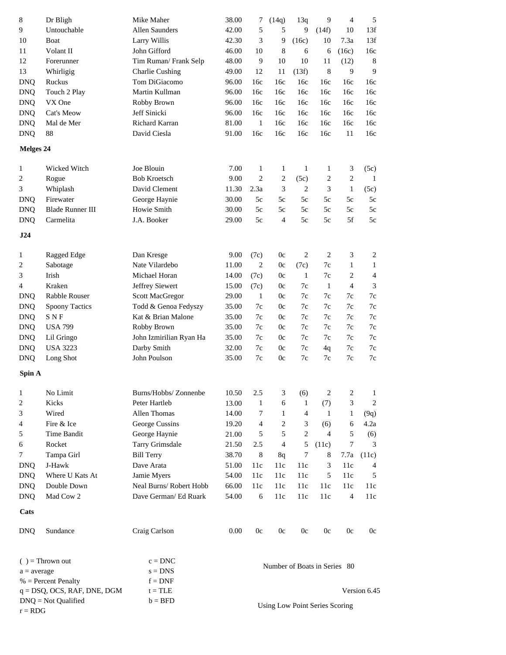| $\,8\,$        | Dr Bligh                       | Mike Maher              | 38.00 | 7              | (14q)            | 13q            | 9                              | $\overline{4}$   | 5             |
|----------------|--------------------------------|-------------------------|-------|----------------|------------------|----------------|--------------------------------|------------------|---------------|
| 9              | Untouchable                    | Allen Saunders          | 42.00 | 5              | 5                | 9              | (14f)                          | 10               | 13f           |
| 10             | Boat                           | Larry Willis            | 42.30 | 3              | 9                | (16c)          | 10                             | 7.3a             | 13f           |
| 11             | Volant II                      | John Gifford            | 46.00 | 10             | $\,8\,$          | 6              | 6                              | (16c)            | 16c           |
| 12             | Forerunner                     | Tim Ruman/Frank Selp    | 48.00 | 9              | 10               | 10             | 11                             | (12)             | $\,8\,$       |
| 13             | Whirligig                      | <b>Charlie Cushing</b>  | 49.00 | 12             | 11               | (13f)          | 8                              | 9                | 9             |
| <b>DNQ</b>     | Ruckus                         | Tom DiGiacomo           | 96.00 | 16c            | 16c              | 16c            | 16c                            | 16c              | 16c           |
| <b>DNQ</b>     | Touch 2 Play                   | Martin Kullman          | 96.00 | 16c            | 16c              | 16c            | 16c                            | 16c              | 16c           |
| <b>DNQ</b>     | VX One                         | Robby Brown             | 96.00 | 16c            | 16c              | 16c            | 16c                            | 16c              | 16c           |
| <b>DNQ</b>     | Cat's Meow                     | Jeff Sinicki            | 96.00 | 16c            | 16c              | 16c            | 16c                            | 16c              | 16c           |
| <b>DNQ</b>     | Mal de Mer                     | Richard Karran          | 81.00 | $\mathbf{1}$   | 16c              | 16c            | 16c                            | 16c              | 16c           |
| <b>DNQ</b>     | 88                             | David Ciesla            | 91.00 | 16c            | 16c              | 16c            | 16c                            | 11               | 16c           |
| Melges 24      |                                |                         |       |                |                  |                |                                |                  |               |
| $\mathbf{1}$   | Wicked Witch                   | Joe Blouin              | 7.00  | $\mathbf{1}$   | $\mathbf{1}$     | $\mathbf{1}$   | $\mathbf{1}$                   | 3                | (5c)          |
| 2              | Rogue                          | <b>Bob Kroetsch</b>     | 9.00  | $\overline{c}$ | $\boldsymbol{2}$ | (5c)           | $\boldsymbol{2}$               | $\boldsymbol{2}$ | $\mathbf{1}$  |
| 3              | Whiplash                       | David Clement           | 11.30 | 2.3a           | 3                | 2              | 3                              | $\mathbf{1}$     | (5c)          |
| <b>DNQ</b>     | Firewater                      | George Haynie           | 30.00 | $5\mathrm{c}$  | 5c               | 5c             | $5c$                           | 5c               | $5c$          |
| <b>DNQ</b>     | <b>Blade Runner III</b>        | Howie Smith             | 30.00 | $5\mathrm{c}$  | 5c               | 5c             | 5c                             | 5c               | $5c$          |
| <b>DNQ</b>     | Carmelita                      | J.A. Booker             | 29.00 | 5c             | $\overline{4}$   | 5c             | 5c                             | 5f               | 5c            |
| J24            |                                |                         |       |                |                  |                |                                |                  |               |
|                |                                |                         |       |                |                  |                |                                |                  |               |
| $\mathbf{1}$   | Ragged Edge                    | Dan Kresge              | 9.00  | (7c)           | 0c               | 2              | $\sqrt{2}$                     | 3                | 2             |
| $\overline{c}$ | Sabotage                       | Nate Vilardebo          | 11.00 | $\overline{2}$ | 0c               | (7c)           | 7c                             | $\mathbf{1}$     | $\mathbf{1}$  |
| 3              | Irish                          | Michael Horan           | 14.00 | (7c)           | 0c               | $\mathbf{1}$   | 7c                             | 2                | 4             |
| 4              | Kraken                         | Jeffrey Siewert         | 15.00 | (7c)           | 0c               | 7c             | $\mathbf{1}$                   | $\overline{4}$   | 3             |
| <b>DNQ</b>     | Rabble Rouser                  | <b>Scott MacGregor</b>  | 29.00 | $\mathbf{1}$   | 0c               | 7c             | 7c                             | 7c               | 7c            |
| <b>DNQ</b>     | <b>Spoony Tactics</b>          | Todd & Genoa Fedyszy    | 35.00 | 7c             | 0c               | 7c             | 7c                             | 7c               | $7\mathrm{c}$ |
| <b>DNQ</b>     | <b>SNF</b>                     | Kat & Brian Malone      | 35.00 | 7c             | 0c               | 7c             | 7c                             | 7c               | $7\mathrm{c}$ |
| <b>DNQ</b>     | <b>USA 799</b>                 | Robby Brown             | 35.00 | 7c             | 0c               | $7c$           | 7c                             | 7c               | $7\mathrm{c}$ |
| <b>DNQ</b>     | Lil Gringo                     | John Izmirilian Ryan Ha | 35.00 | 7c             | 0c               | 7c             | 7c                             | $7\mathrm{c}$    | $7\mathrm{c}$ |
| <b>DNQ</b>     | <b>USA 3223</b>                | Darby Smith             | 32.00 | 7c             | 0c               | 7c             | 4q                             | 7c               | $7\mathrm{c}$ |
| <b>DNQ</b>     | Long Shot                      | John Poulson            | 35.00 | 7c             | 0c               | 7c             | $7\mathrm{c}$                  | $7\mathrm{c}$    | $7\mathrm{c}$ |
| Spin A         |                                |                         |       |                |                  |                |                                |                  |               |
| $\mathbf{1}$   | No Limit                       | Burns/Hobbs/ Zonnenbe   | 10.50 | 2.5            | 3                | (6)            | 2                              | $\overline{c}$   | $\mathbf{1}$  |
| 2              | Kicks                          | Peter Hartleb           | 13.00 | $\mathbf{1}$   | 6                | 1              | (7)                            | 3                | 2             |
| 3              | Wired                          | Allen Thomas            | 14.00 | 7              | 1                | $\overline{4}$ | -1                             | 1                | (9q)          |
| 4              | Fire & Ice                     | George Cussins          | 19.20 | 4              | 2                | 3              | (6)                            | 6                | 4.2a          |
| 5              | <b>Time Bandit</b>             | George Haynie           | 21.00 | 5              | 5                | $\overline{c}$ | $\overline{4}$                 | 5                | (6)           |
| 6              | Rocket                         | Tarry Grimsdale         | 21.50 | 2.5            | $\overline{4}$   | 5              | (11c)                          | 7                | 3             |
| 7              | Tampa Girl                     | <b>Bill Terry</b>       | 38.70 | 8              | 8q               | 7              | 8                              | 7.7a             | (11c)         |
| <b>DNQ</b>     | J-Hawk                         | Dave Arata              | 51.00 | 11c            | 11c              | 11c            | 3                              | 11c              | 4             |
| <b>DNQ</b>     | Where U Kats At                | Jamie Myers             | 54.00 | 11c            | 11c              | 11c            | 5                              | 11c              | 5             |
| <b>DNQ</b>     | Double Down                    | Neal Burns/Robert Hobb  | 66.00 | 11c            | 11c              | 11c            | 11c                            | 11c              | 11c           |
| <b>DNQ</b>     | Mad Cow 2                      | Dave German/ Ed Ruark   | 54.00 | 6              | 11c              | 11c            | 11c                            | 4                | 11c           |
| Cats           |                                |                         |       |                |                  |                |                                |                  |               |
| <b>DNQ</b>     | Sundance                       | Craig Carlson           | 0.00  | 0c             | 0c               | 0c             | 0c                             | 0 <sub>c</sub>   | 0c            |
|                |                                |                         |       |                |                  |                |                                |                  |               |
|                | $( )$ = Thrown out             | $c = DNC$               |       |                |                  |                |                                |                  |               |
| $a = average$  |                                | $s = DNS$               |       |                |                  |                | Number of Boats in Series 80   |                  |               |
|                | $%$ = Percent Penalty          | $f = DNF$               |       |                |                  |                |                                |                  |               |
|                | $q = DSQ$ , OCS, RAF, DNE, DGM | $t = TLE$               |       |                |                  |                |                                |                  | Version 6.45  |
|                | $DNQ = Not$ Qualified          | $b = BFD$               |       |                |                  |                | Using Low Point Series Scoring |                  |               |
| $r = RDG$      |                                |                         |       |                |                  |                |                                |                  |               |